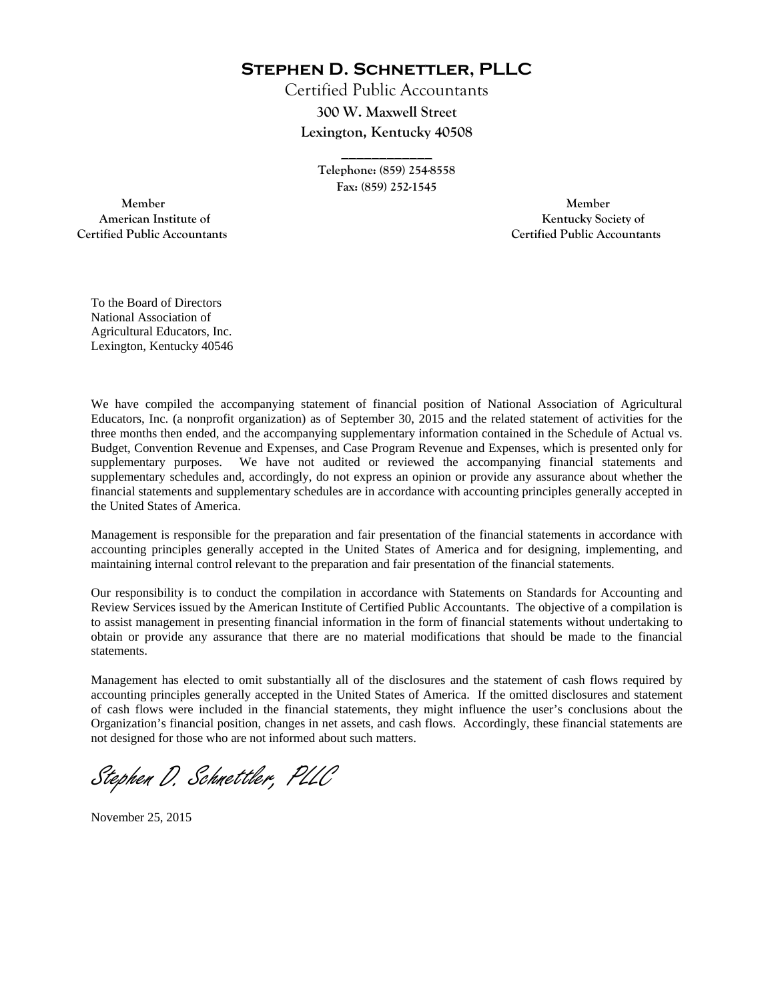**Stephen D. Schnettler, PLLC**

Certified Public Accountants **300 W. Maxwell Street Lexington, Kentucky 40508** 

> **Telephone: (859) 254-8558 Fax: (859) 252-1545**

**\_\_\_\_\_\_\_\_\_\_\_\_** 

 **Member Member Certified Public Accountants Certified Public Accountants** 

American Institute of **Kentucky Society of** 

To the Board of Directors National Association of Agricultural Educators, Inc. Lexington, Kentucky 40546

We have compiled the accompanying statement of financial position of National Association of Agricultural Educators, Inc. (a nonprofit organization) as of September 30, 2015 and the related statement of activities for the three months then ended, and the accompanying supplementary information contained in the Schedule of Actual vs. Budget, Convention Revenue and Expenses, and Case Program Revenue and Expenses, which is presented only for supplementary purposes. We have not audited or reviewed the accompanying financial statements and supplementary schedules and, accordingly, do not express an opinion or provide any assurance about whether the financial statements and supplementary schedules are in accordance with accounting principles generally accepted in the United States of America.

Management is responsible for the preparation and fair presentation of the financial statements in accordance with accounting principles generally accepted in the United States of America and for designing, implementing, and maintaining internal control relevant to the preparation and fair presentation of the financial statements.

Our responsibility is to conduct the compilation in accordance with Statements on Standards for Accounting and Review Services issued by the American Institute of Certified Public Accountants. The objective of a compilation is to assist management in presenting financial information in the form of financial statements without undertaking to obtain or provide any assurance that there are no material modifications that should be made to the financial statements.

Management has elected to omit substantially all of the disclosures and the statement of cash flows required by accounting principles generally accepted in the United States of America. If the omitted disclosures and statement of cash flows were included in the financial statements, they might influence the user's conclusions about the Organization's financial position, changes in net assets, and cash flows. Accordingly, these financial statements are not designed for those who are not informed about such matters.

Stephen D. Schnettler, PLLC

November 25, 2015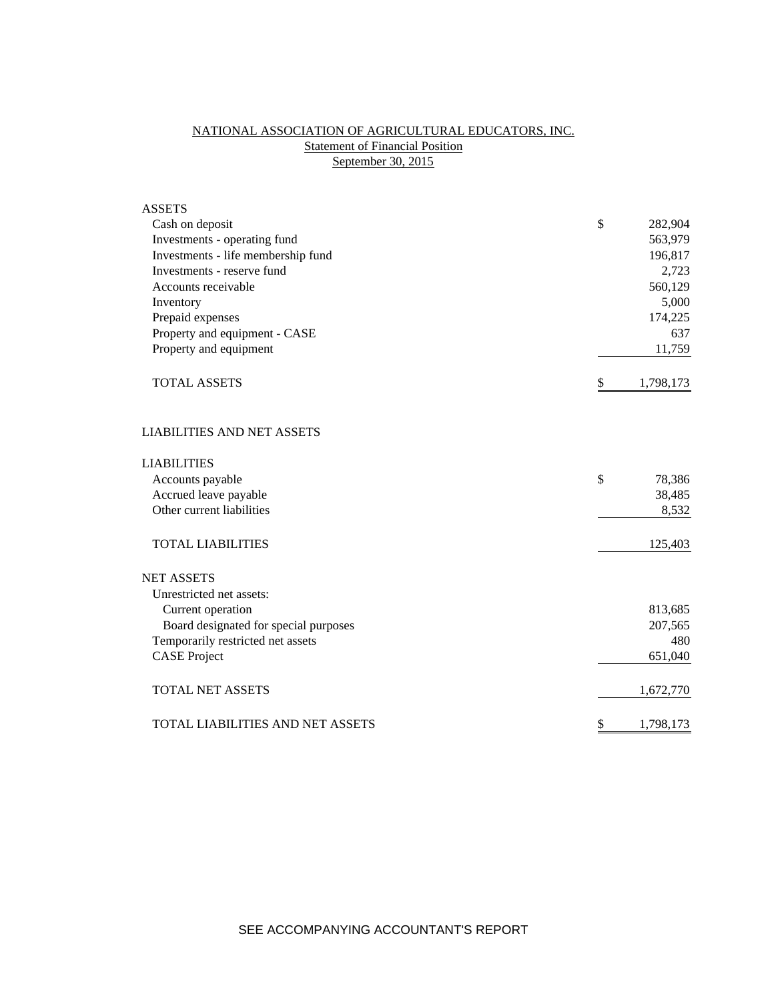# NATIONAL ASSOCIATION OF AGRICULTURAL EDUCATORS, INC. **Statement of Financial Position** September 30, 2015

| <b>ASSETS</b>                         |                 |
|---------------------------------------|-----------------|
| Cash on deposit                       | \$<br>282,904   |
| Investments - operating fund          | 563,979         |
| Investments - life membership fund    | 196,817         |
| Investments - reserve fund            | 2,723           |
| Accounts receivable                   | 560,129         |
| Inventory                             | 5,000           |
| Prepaid expenses                      | 174,225         |
| Property and equipment - CASE         | 637             |
| Property and equipment                | 11,759          |
| <b>TOTAL ASSETS</b>                   | \$<br>1,798,173 |
| <b>LIABILITIES AND NET ASSETS</b>     |                 |
| <b>LIABILITIES</b>                    |                 |
| Accounts payable                      | \$<br>78,386    |
| Accrued leave payable                 | 38,485          |
| Other current liabilities             | 8,532           |
| <b>TOTAL LIABILITIES</b>              | 125,403         |
| <b>NET ASSETS</b>                     |                 |
| Unrestricted net assets:              |                 |
| Current operation                     | 813,685         |
| Board designated for special purposes | 207,565         |
| Temporarily restricted net assets     | 480             |
| <b>CASE</b> Project                   | 651,040         |
| <b>TOTAL NET ASSETS</b>               | 1,672,770       |
| TOTAL LIABILITIES AND NET ASSETS      | \$<br>1,798,173 |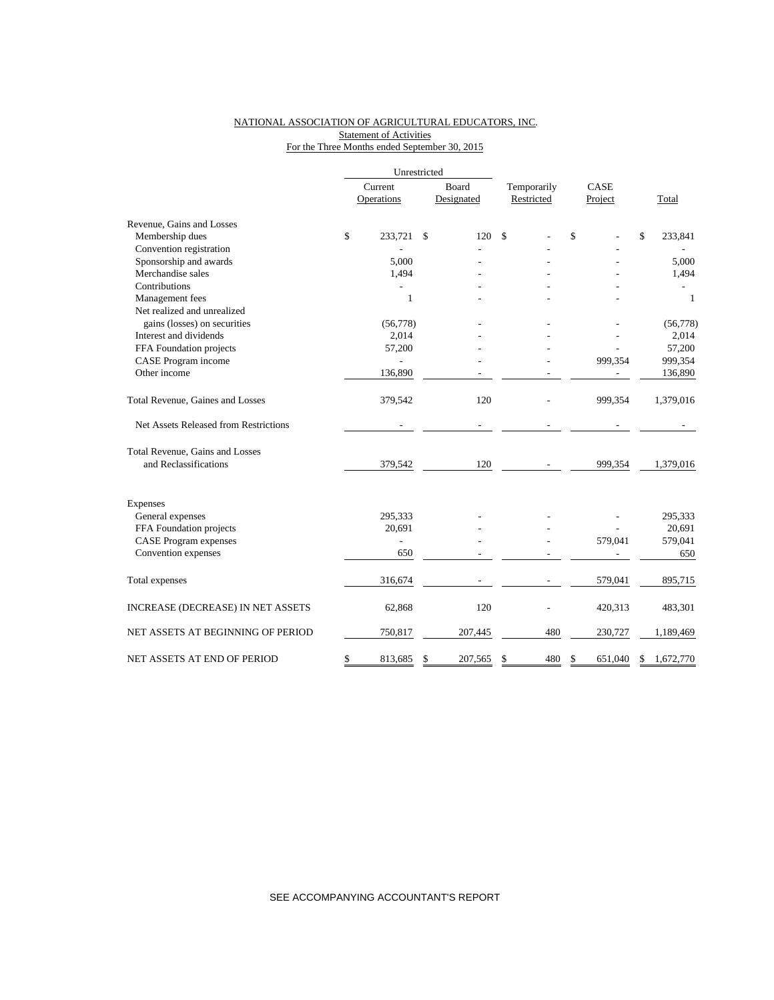## NATIONAL ASSOCIATION OF AGRICULTURAL EDUCATORS, INC. **Statement of Activities** For the Three Months ended September 30, 2015

|                                       |    | Current<br>Operations | Board<br>Designated | Temporarily<br>Restricted |     | CASE<br>Project | Total |              |
|---------------------------------------|----|-----------------------|---------------------|---------------------------|-----|-----------------|-------|--------------|
| Revenue, Gains and Losses             |    |                       |                     |                           |     |                 |       |              |
| Membership dues                       | \$ | 233.721               | \$<br>120           | \$                        |     | \$              | \$    | 233,841      |
| Convention registration               |    |                       |                     |                           |     |                 |       |              |
| Sponsorship and awards                |    | 5,000                 |                     |                           |     |                 |       | 5,000        |
| Merchandise sales                     |    | 1,494                 |                     |                           |     |                 |       | 1,494        |
| Contributions                         |    |                       |                     |                           |     |                 |       |              |
| Management fees                       |    | $\mathbf{1}$          |                     |                           |     |                 |       | $\mathbf{1}$ |
| Net realized and unrealized           |    |                       |                     |                           |     |                 |       |              |
| gains (losses) on securities          |    | (56, 778)             |                     |                           |     |                 |       | (56,778)     |
| Interest and dividends                |    | 2,014                 |                     |                           |     |                 |       | 2,014        |
| FFA Foundation projects               |    | 57,200                |                     |                           |     |                 |       | 57,200       |
| CASE Program income                   |    |                       |                     |                           |     | 999,354         |       | 999,354      |
| Other income                          |    | 136,890               |                     |                           |     |                 |       | 136,890      |
| Total Revenue, Gaines and Losses      |    | 379,542               | 120                 |                           |     | 999,354         |       | 1,379,016    |
| Net Assets Released from Restrictions |    |                       |                     |                           |     |                 |       |              |
| Total Revenue, Gains and Losses       |    |                       |                     |                           |     |                 |       |              |
| and Reclassifications                 |    | 379,542               | 120                 |                           |     | 999,354         |       | 1,379,016    |
| Expenses                              |    |                       |                     |                           |     |                 |       |              |
| General expenses                      |    | 295,333               |                     |                           |     |                 |       | 295,333      |
| FFA Foundation projects               |    | 20,691                |                     |                           |     |                 |       | 20,691       |
| <b>CASE Program expenses</b>          |    | $\overline{a}$        |                     |                           |     | 579,041         |       | 579,041      |
| Convention expenses                   |    | 650                   |                     |                           |     |                 |       | 650          |
| Total expenses                        |    | 316,674               |                     |                           |     | 579,041         |       | 895,715      |
| INCREASE (DECREASE) IN NET ASSETS     |    | 62,868                | 120                 |                           |     | 420,313         |       | 483,301      |
| NET ASSETS AT BEGINNING OF PERIOD     |    | 750,817               | 207,445             |                           | 480 | 230,727         |       | 1,189,469    |
| NET ASSETS AT END OF PERIOD           | \$ | 813,685               | \$<br>207,565       | \$                        | 480 | \$<br>651,040   | \$    | 1,672,770    |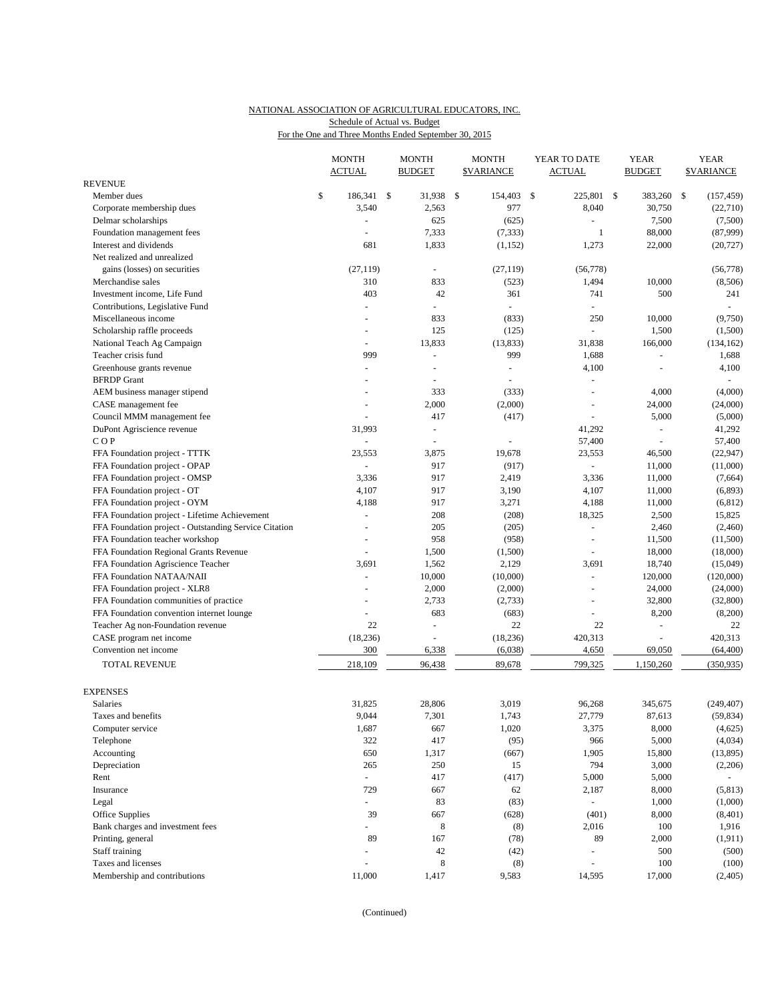## NATIONAL ASSOCIATION OF AGRICULTURAL EDUCATORS, INC. Schedule of Actual vs. Budget

For the One and Three Months Ended September 30, 2015

|                                                       | <b>MONTH</b><br><b>ACTUAL</b> | <b>MONTH</b><br><b>BUDGET</b> | <b>MONTH</b><br><b>\$VARIANCE</b> | YEAR TO DATE<br><b>ACTUAL</b> |              | <b>YEAR</b><br><b>BUDGET</b> | <b>YEAR</b><br><b>\$VARIANCE</b> |
|-------------------------------------------------------|-------------------------------|-------------------------------|-----------------------------------|-------------------------------|--------------|------------------------------|----------------------------------|
| <b>REVENUE</b>                                        |                               |                               |                                   |                               |              |                              |                                  |
| Member dues                                           | \$<br>186,341 \$              | 31,938                        | \$<br>154,403 \$                  | 225,801                       | $\mathbb{S}$ | 383,260                      | \$<br>(157, 459)                 |
| Corporate membership dues                             | 3,540                         | 2,563                         | 977                               | 8,040                         |              | 30,750                       | (22,710)                         |
| Delmar scholarships                                   | ä,                            | 625                           | (625)                             | $\omega$                      |              | 7,500                        | (7,500)                          |
| Foundation management fees                            |                               | 7,333                         | (7, 333)                          | $\mathbf{1}$                  |              | 88,000                       | (87,999)                         |
| Interest and dividends                                | 681                           | 1,833                         | (1, 152)                          | 1,273                         |              | 22,000                       | (20, 727)                        |
| Net realized and unrealized                           |                               |                               |                                   |                               |              |                              |                                  |
| gains (losses) on securities                          | (27, 119)                     | $\overline{\phantom{a}}$      | (27, 119)                         | (56,778)                      |              |                              | (56, 778)                        |
| Merchandise sales                                     | 310                           | 833                           | (523)                             | 1,494                         |              | 10,000                       | (8,506)                          |
| Investment income, Life Fund                          | 403                           | 42                            | 361                               | 741                           |              | 500                          | 241                              |
| Contributions, Legislative Fund                       | L,                            |                               |                                   |                               |              |                              | $\sim$                           |
| Miscellaneous income                                  | $\overline{a}$                | 833                           | (833)                             | 250                           |              | 10,000                       | (9,750)                          |
| Scholarship raffle proceeds                           |                               | 125                           | (125)                             |                               |              | 1,500                        | (1,500)                          |
| National Teach Ag Campaign                            | $\overline{\phantom{a}}$      | 13,833                        | (13, 833)                         | 31,838                        |              | 166,000                      | (134, 162)                       |
| Teacher crisis fund                                   | 999                           | $\blacksquare$                | 999                               | 1,688                         |              | L,                           | 1,688                            |
| Greenhouse grants revenue                             | ä,                            | $\overline{\phantom{a}}$      | $\blacksquare$                    | 4,100                         |              |                              | 4,100                            |
| <b>BFRDP</b> Grant                                    |                               |                               |                                   | ÷,                            |              |                              |                                  |
| AEM business manager stipend                          | ٠                             | 333                           | (333)                             | $\sim$                        |              | 4,000                        | (4,000)                          |
| CASE management fee                                   |                               | 2,000                         | (2,000)                           |                               |              | 24,000                       | (24,000)                         |
| Council MMM management fee                            | ÷,                            | 417                           | (417)                             | $\overline{a}$                |              | 5,000                        | (5,000)                          |
| DuPont Agriscience revenue                            | 31,993                        | $\blacksquare$                |                                   | 41,292                        |              | ÷,                           | 41,292                           |
| COP                                                   |                               | $\overline{\phantom{a}}$      |                                   | 57,400                        |              |                              | 57,400                           |
| FFA Foundation project - TTTK                         | 23,553                        | 3,875                         | 19,678                            | 23,553                        |              | 46,500                       | (22, 947)                        |
| FFA Foundation project - OPAP                         |                               | 917                           | (917)                             | $\blacksquare$                |              | 11,000                       | (11,000)                         |
| FFA Foundation project - OMSP                         | 3,336                         | 917                           | 2,419                             | 3,336                         |              | 11,000                       | (7,664)                          |
| FFA Foundation project - OT                           | 4,107                         | 917                           | 3,190                             | 4,107                         |              | 11,000                       | (6,893)                          |
| FFA Foundation project - OYM                          | 4,188                         | 917                           | 3,271                             | 4,188                         |              | 11,000                       | (6, 812)                         |
| FFA Foundation project - Lifetime Achievement         | L.                            | 208                           | (208)                             | 18,325                        |              | 2,500                        | 15,825                           |
| FFA Foundation project - Outstanding Service Citation |                               | 205                           | (205)                             | $\blacksquare$                |              | 2,460                        | (2,460)                          |
| FFA Foundation teacher workshop                       |                               | 958                           | (958)                             | ÷,                            |              | 11,500                       | (11,500)                         |
| FFA Foundation Regional Grants Revenue                | ä,                            | 1,500                         | (1,500)                           | ÷,                            |              | 18,000                       | (18,000)                         |
| FFA Foundation Agriscience Teacher                    | 3,691                         | 1,562                         | 2,129                             | 3,691                         |              | 18,740                       | (15,049)                         |
| FFA Foundation NATAA/NAII                             | L,                            | 10,000                        | (10,000)                          | $\sim$                        |              | 120,000                      | (120,000)                        |
| FFA Foundation project - XLR8                         | ÷,                            | 2,000                         | (2,000)                           | $\sim$                        |              | 24,000                       | (24,000)                         |
| FFA Foundation communities of practice                |                               | 2,733                         | (2,733)                           | $\overline{a}$                |              | 32,800                       | (32,800)                         |
| FFA Foundation convention internet lounge             |                               | 683                           | (683)                             |                               |              | 8,200                        | (8,200)                          |
| Teacher Ag non-Foundation revenue                     | 22                            | ä,                            | 22                                | 22                            |              | ÷,                           | 22                               |
| CASE program net income                               | (18, 236)                     |                               | (18, 236)                         | 420,313                       |              |                              | 420,313                          |
| Convention net income                                 | 300                           | 6,338                         | (6,038)                           | 4,650                         |              | 69,050                       | (64, 400)                        |
|                                                       |                               |                               |                                   |                               |              |                              |                                  |
| TOTAL REVENUE                                         | 218,109                       | 96,438                        | 89,678                            | 799,325                       |              | 1,150,260                    | (350, 935)                       |
| <b>EXPENSES</b>                                       |                               |                               |                                   |                               |              |                              |                                  |
| Salaries                                              | 31,825                        | 28,806                        | 3,019                             | 96,268                        |              | 345,675                      | (249, 407)                       |
| Taxes and benefits                                    | 9,044                         | 7,301                         | 1,743                             | 27,779                        |              | 87,613                       | (59, 834)                        |
| Computer service                                      | 1,687                         | 667                           | 1,020                             | 3,375                         |              | 8,000                        | (4,625)                          |
| Telephone                                             | 322                           | 417                           | (95)                              | 966                           |              | 5,000                        | (4,034)                          |
| Accounting                                            | 650                           | 1,317                         | (667)                             | 1,905                         |              | 15,800                       | (13, 895)                        |
| Depreciation                                          | 265                           | 250                           | 15                                | 794                           |              | 3,000                        | (2,206)                          |
| Rent                                                  | $\omega$                      | 417                           | (417)                             | 5,000                         |              | 5,000                        |                                  |
| Insurance                                             | 729                           | 667                           | 62                                | 2,187                         |              | 8,000                        | (5, 813)                         |
| Legal                                                 | $\blacksquare$                | 83                            | (83)                              | $\Box$                        |              | 1,000                        | (1,000)                          |
| Office Supplies                                       | 39                            | 667                           | (628)                             | (401)                         |              | 8,000                        | (8,401)                          |
| Bank charges and investment fees                      |                               | 8                             | (8)                               | 2,016                         |              | 100                          | 1,916                            |
| Printing, general                                     | 89                            | 167                           | (78)                              | 89                            |              | 2,000                        | (1, 911)                         |
| Staff training                                        |                               | 42                            | (42)                              | ÷,                            |              | 500                          | (500)                            |
| Taxes and licenses                                    | ä,                            | $\,8\,$                       | (8)                               |                               |              | 100                          | (100)                            |
| Membership and contributions                          | 11,000                        | 1,417                         | 9,583                             | 14,595                        |              | 17,000                       | (2,405)                          |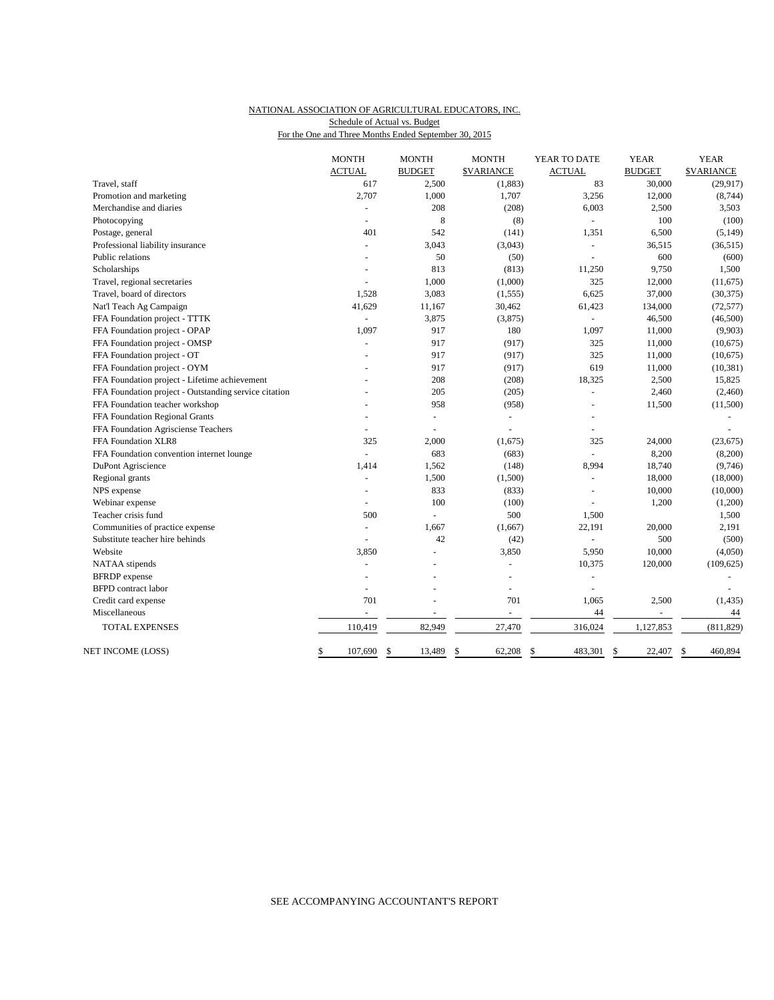### NATIONAL ASSOCIATION OF AGRICULTURAL EDUCATORS, INC. For the One and Three Months Ended September 30, 2015 Schedule of Actual vs. Budget

|                                                       | <b>MONTH</b>   | <b>MONTH</b>   | <b>MONTH</b>      | YEAR TO DATE   | <b>YEAR</b>    | <b>YEAR</b>       |
|-------------------------------------------------------|----------------|----------------|-------------------|----------------|----------------|-------------------|
|                                                       | <b>ACTUAL</b>  | <b>BUDGET</b>  | <b>\$VARIANCE</b> | <b>ACTUAL</b>  | <b>BUDGET</b>  | <b>\$VARIANCE</b> |
| Travel, staff                                         | 617            | 2,500          | (1,883)           | 83             | 30,000         | (29, 917)         |
| Promotion and marketing                               | 2,707          | 1,000          | 1,707             | 3,256          | 12,000         | (8,744)           |
| Merchandise and diaries                               | ÷.             | 208            | (208)             | 6,003          | 2,500          | 3,503             |
| Photocopying                                          | ÷              | 8              | (8)               |                | 100            | (100)             |
| Postage, general                                      | 401            | 542            | (141)             | 1,351          | 6,500          | (5,149)           |
| Professional liability insurance                      |                | 3,043          | (3,043)           | ÷,             | 36,515         | (36,515)          |
| Public relations                                      |                | 50             | (50)              | $\overline{a}$ | 600            | (600)             |
| Scholarships                                          |                | 813            | (813)             | 11,250         | 9,750          | 1,500             |
| Travel, regional secretaries                          |                | 1,000          | (1,000)           | 325            | 12,000         | (11,675)          |
| Travel, board of directors                            | 1.528          | 3,083          | (1, 555)          | 6,625          | 37,000         | (30, 375)         |
| Nat'l Teach Ag Campaign                               | 41,629         | 11,167         | 30,462            | 61,423         | 134,000        | (72, 577)         |
| FFA Foundation project - TTTK                         | $\omega$       | 3,875          | (3,875)           | $\equiv$       | 46,500         | (46,500)          |
| FFA Foundation project - OPAP                         | 1,097          | 917            | 180               | 1,097          | 11,000         | (9,903)           |
| FFA Foundation project - OMSP                         | ÷,             | 917            | (917)             | 325            | 11,000         | (10,675)          |
| FFA Foundation project - OT                           |                | 917            | (917)             | 325            | 11,000         | (10,675)          |
| FFA Foundation project - OYM                          |                | 917            | (917)             | 619            | 11,000         | (10, 381)         |
| FFA Foundation project - Lifetime achievement         |                | 208            | (208)             | 18,325         | 2,500          | 15,825            |
| FFA Foundation project - Outstanding service citation |                | 205            | (205)             | ÷,             | 2,460          | (2,460)           |
| FFA Foundation teacher workshop                       |                | 958            | (958)             | ÷,             | 11,500         | (11,500)          |
| FFA Foundation Regional Grants                        |                |                | $\equiv$          |                |                |                   |
| FFA Foundation Agrisciense Teachers                   |                |                |                   |                |                |                   |
| FFA Foundation XLR8                                   | 325            | 2,000          | (1,675)           | 325            | 24,000         | (23, 675)         |
| FFA Foundation convention internet lounge             | $\overline{a}$ | 683            | (683)             | ÷,             | 8,200          | (8,200)           |
| DuPont Agriscience                                    | 1,414          | 1,562          | (148)             | 8,994          | 18,740         | (9,746)           |
| Regional grants                                       | ÷,             | 1,500          | (1,500)           | $\sim$         | 18,000         | (18,000)          |
| NPS expense                                           | ÷,             | 833            | (833)             | ÷,             | 10,000         | (10,000)          |
| Webinar expense                                       | ÷.             | 100            | (100)             |                | 1,200          | (1,200)           |
| Teacher crisis fund                                   | 500            | $\overline{a}$ | 500               | 1,500          |                | 1,500             |
| Communities of practice expense                       | ä,             | 1,667          | (1,667)           | 22,191         | 20,000         | 2,191             |
| Substitute teacher hire behinds                       |                | 42             | (42)              | $\overline{a}$ | 500            | (500)             |
| Website                                               | 3,850          |                | 3,850             | 5,950          | 10,000         | (4,050)           |
| NATAA stipends                                        | ÷              |                | ÷.                | 10,375         | 120,000        | (109, 625)        |
| <b>BFRDP</b> expense                                  | ÷              |                | ä,                | ÷,             |                |                   |
| <b>BFPD</b> contract labor                            | ÷.             |                | ä,                |                |                |                   |
| Credit card expense                                   | 701            |                | 701               | 1,065          | 2,500          | (1, 435)          |
| Miscellaneous                                         |                | ÷,             | $\overline{a}$    | 44             | $\overline{a}$ | 44                |
| <b>TOTAL EXPENSES</b>                                 | 110,419        | 82,949         | 27,470            | 316,024        | 1,127,853      | (811, 829)        |
| NET INCOME (LOSS)                                     | \$<br>107,690  | 13,489<br>\$   | 62,208<br>\$      | 483,301<br>\$  | \$<br>22,407   | 460,894<br>\$     |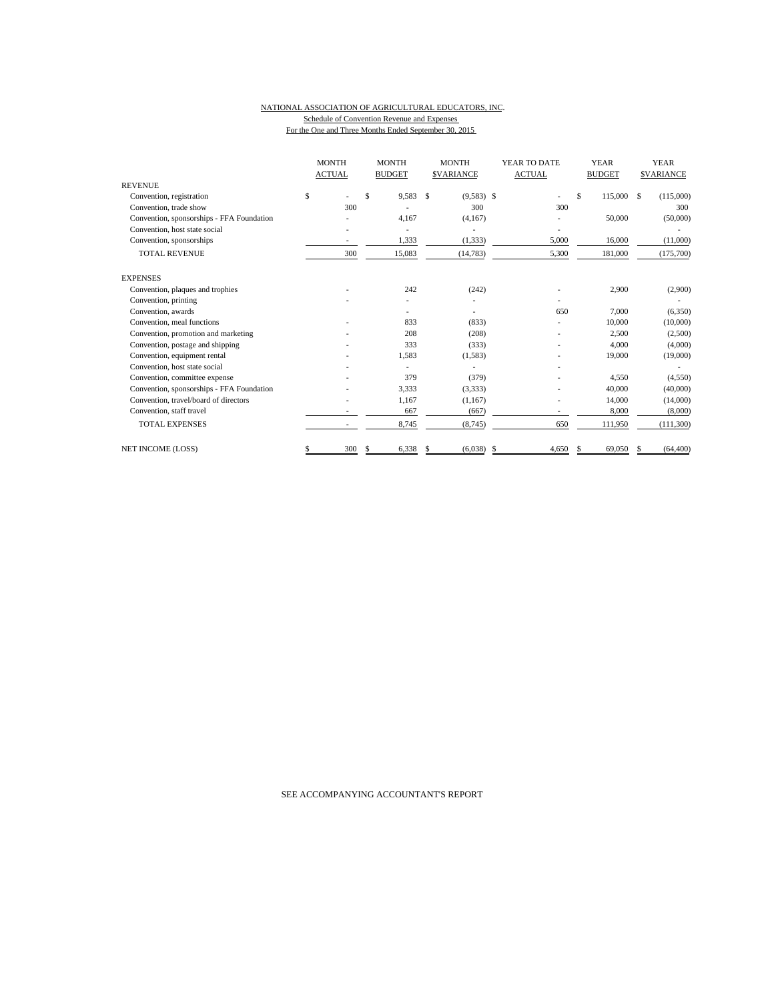#### NATIONAL ASSOCIATION OF AGRICULTURAL EDUCATORS, INC. Schedule of Convention Revenue and Expenses For the One and Three Months Ended September 30, 2015

|                                           | <b>MONTH</b><br><b>ACTUAL</b> | <b>MONTH</b><br><b>BUDGET</b> |    | <b>MONTH</b><br><b>SVARIANCE</b> |    | YEAR TO DATE<br><b>ACTUAL</b> |    | <b>YEAR</b><br><b>BUDGET</b> | <b>YEAR</b><br><b>SVARIANCE</b> |
|-------------------------------------------|-------------------------------|-------------------------------|----|----------------------------------|----|-------------------------------|----|------------------------------|---------------------------------|
| <b>REVENUE</b>                            |                               |                               |    |                                  |    |                               |    |                              |                                 |
| Convention, registration                  | \$                            | \$<br>9,583                   | \$ | $(9,583)$ \$                     |    |                               | \$ | 115,000 \$                   | (115,000)                       |
| Convention, trade show                    | 300                           |                               |    | 300                              |    | 300                           |    |                              | 300                             |
| Convention, sponsorships - FFA Foundation |                               | 4,167                         |    | (4, 167)                         |    |                               |    | 50,000                       | (50,000)                        |
| Convention, host state social             |                               |                               |    |                                  |    |                               |    |                              |                                 |
| Convention, sponsorships                  |                               | 1,333                         |    | (1, 333)                         |    | 5,000                         |    | 16,000                       | (11,000)                        |
| <b>TOTAL REVENUE</b>                      | 300                           | 15,083                        |    | (14, 783)                        |    | 5,300                         |    | 181,000                      | (175,700)                       |
| <b>EXPENSES</b>                           |                               |                               |    |                                  |    |                               |    |                              |                                 |
| Convention, plaques and trophies          |                               | 242                           |    | (242)                            |    |                               |    | 2,900                        | (2,900)                         |
| Convention, printing                      |                               |                               |    |                                  |    |                               |    |                              |                                 |
| Convention, awards                        |                               |                               |    | ۰                                |    | 650                           |    | 7,000                        | (6,350)                         |
| Convention, meal functions                |                               | 833                           |    | (833)                            |    |                               |    | 10,000                       | (10,000)                        |
| Convention, promotion and marketing       |                               | 208                           |    | (208)                            |    |                               |    | 2,500                        | (2,500)                         |
| Convention, postage and shipping          |                               | 333                           |    | (333)                            |    |                               |    | 4.000                        | (4,000)                         |
| Convention, equipment rental              |                               | 1,583                         |    | (1, 583)                         |    |                               |    | 19,000                       | (19,000)                        |
| Convention, host state social             |                               | ٠                             |    |                                  |    |                               |    |                              |                                 |
| Convention, committee expense             |                               | 379                           |    | (379)                            |    |                               |    | 4,550                        | (4,550)                         |
| Convention, sponsorships - FFA Foundation |                               | 3,333                         |    | (3,333)                          |    |                               |    | 40,000                       | (40,000)                        |
| Convention, travel/board of directors     |                               | 1,167                         |    | (1,167)                          |    |                               |    | 14,000                       | (14,000)                        |
| Convention, staff travel                  |                               | 667                           |    | (667)                            |    |                               |    | 8,000                        | (8,000)                         |
| <b>TOTAL EXPENSES</b>                     |                               | 8,745                         |    | (8, 745)                         |    | 650                           |    | 111,950                      | (111,300)                       |
| <b>NET INCOME (LOSS)</b>                  | 300                           | 6,338                         | S  | (6,038)                          | -S | 4.650                         |    | 69,050                       | (64, 400)                       |

SEE ACCOMPANYING ACCOUNTANT'S REPORT